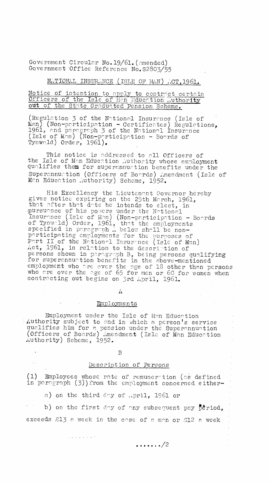Government Circular No.19/61.(amended) Government Office Reference No.S2803/55

# NATIONAL INSURANCE (ISLE OF MAN) ACT, 1961.

## Notice of intention to apply to contract certain Officers of the Isle of Man Education authority out of the State Graduated Pension Scheme.

(Regulation 3 of the National Insurance (Isle of  $\texttt{Men}$  (Non-participation - Certificates) Regulations, 1961, and paragraph 3 of the National Insurance (Isle of Men) (Non—participation — Boards of Tynwald) Order, 1961).

This notice is addressed to all Officers of the Isle of Man Education Luthority whose employment qualifies them for superannuation benefits under the Superannuation (Officers of Boards) Amendment (Isle of Men Education authority) Scheme, 1952.

His Excellency the Lieutenant Governor hereby gives notice expiring on the 25th March, 1961, that after that date he intends to elect, in pursuance of his powers under the National Insurance (Isle of Man) (Non-participation - Boards of Tynwald) Order, 1961, that the employments specified in paragraph . below shall be nonparticipntina employments for the puroses of Part II of the National Insurance (Isle of Men) Act, 1961, in relation to the description of persons shown in paragraph B, being persons qualifying for superannuation benefits in the above-mentioned employment who are ever the age of 18 other than persons, who are over the age of 65 for men or 60 for women when contracting out begins on 3rd April, 1961.

 $\Lambda$ 

#### Employments

Employment under the Isle of Man Education Authority subject to and in which a person's service qualifies him for e pension under the Superannuation (Officers of Boards) amendment (Isle of Man Education Authority) Scheme, 1952.

B

## Description. of Persons

(1) Employees whose rate of remuneration (es defined in paragraph (3))from the employment concerned either-

a) on the third day of April, 1961 or

 $\hat{u}$  , we can be defined as

b) on the first day of any subsequent pay  $\bar{D}^*$  riod, exceeds  $\mathcal{E}1\mathcal{I}$  a week in the case of a man or  $\mathcal{E}12$  a week

 $\cdots$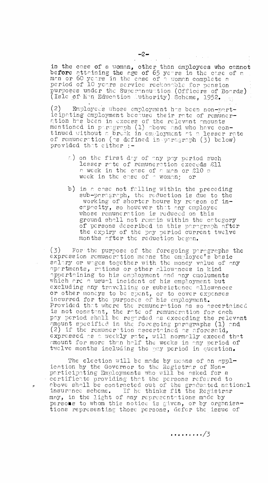in the case of a woman, other than employees who cannot before attaining the age of 65 years in the case of a  $\,$ man or 60 years in the case of a women complete a period of 10 years service reckonnblc for pension purposes under the Superannuation (Officers of Boards) . (Isle of Man Education Duthority). Scheme, 1952.

(2) Employees whose employment has been non-participating employment because their rate of remunertion has been in excess of the relevant amounts mentioned in paragraph (1) above and who have continued without a break in employment at a lesser rate of remuneration (as defined in paragraph (3) below) provided that either :-

- a) on the first day of any pay period such lesser rate of remuneration exceeds a week in the case of a man or  $\otimes 10^$ week in the case of  $\sim$  woman; or
- b) in a case not falling within the preceding sub-paragraph, the reduction is due to the working of shorter hours by reason of incapacity, so however that any employee whose remuneration is reduced on this ground shall not remain within the category of persons described in this paragraph after  $\,$ the expiry of the pay period current twelve months after the reduction began.

(3) For the purpose of the foregoing paragraphs the expression remuneration means the employee's basic salary or wages together with the money value of any apartments, rations or other allowances in kind appertaining to his employment and any emoluments which are a usual incident of his employment but excluding nny trnvelling or subsistence allowances or other moneys to be spent, or to cover expenses incurred for the purposes of his employment. Provided that where the remuneration ns so ascertained is not constant, the rate of remuneration for ench pay period shall be regarded as exceeding the relevant amount specified in the foregoing paragraphs (1) and (2) if the remuneration ascertained as aforesaid, expressed as a weekly rate, will normally exceed that amount for more than half the weeks in any period of twelve months including the pay period in question.

The election will be made by means of an application by the Governor to the Registrar of Nonparticipating Employments who will be asked for a certificate providing thet the persons referred to above shall be contracted out of the graduated national  $\blacksquare$ insurance scheme. If he thinks fit the Registrar may, in the light of any representations made by persons to whom this notice is given, or by organisations representing those persons, defer the issue of

 $\cdots\cdots\cdots/3$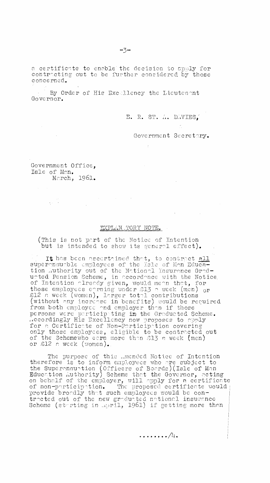a certificate to enable the decision to apply for contracting out to be further considered by those concerned.

By Order of His Excellency the Lieutenant Governor.

E. R. ST. A. D.VIES.

Government Secretary.

Government Office, Isle of Men. March, 1961.

a de la contrata de la contrata.<br>La contrata de la contrata de la contrata de la contrata de la contrata de la contrata de la contrata de la co

 $\sim 10$ 

## EXPLAN TORY NOTE.

 $\sim 10$ 

(This is not port of the Notice of Intention but is intended to show its general effect).

 $\pm$  It has been ascertained that, to contract all superannuable employees of the Isle of Man Education Authority out of the National Insurance Graduated Pension Scheme, in nccordonce with the Notice. of Intention olreody given, would mean that, for those employees earning under 213 a week (men)  $_{\rm OF}$  . £12 a week (women), larger total contributions (without any increose in benefits) would be recuired from both employee and employer than if those persons were participting im the Graducted Scheme. :,ccordingly His Excellency now proposes to apply for n Certificate of Non—Participotion covering only those employees, eligible to be contracted out of the Schemewho earn more than  $\mathop{\triangleleft} 13$  a week (men)  $\,$ or £12 a week (women)..

The purpose of this \_mended Notice of Intention therefore is to inform employees who are subject to the Superannuation (Officers of Boards) (Isle of Man Education Authority) Scheme that the Governor, acting on behalf of the employer, will apply for n certificate of non-participation. The proposed certificate would  $\frac{1}{11}$ provide broadly that such employees would be contracted out of the new graduated national insurance Scheme (starting in 19ril, 1961) if getting more then